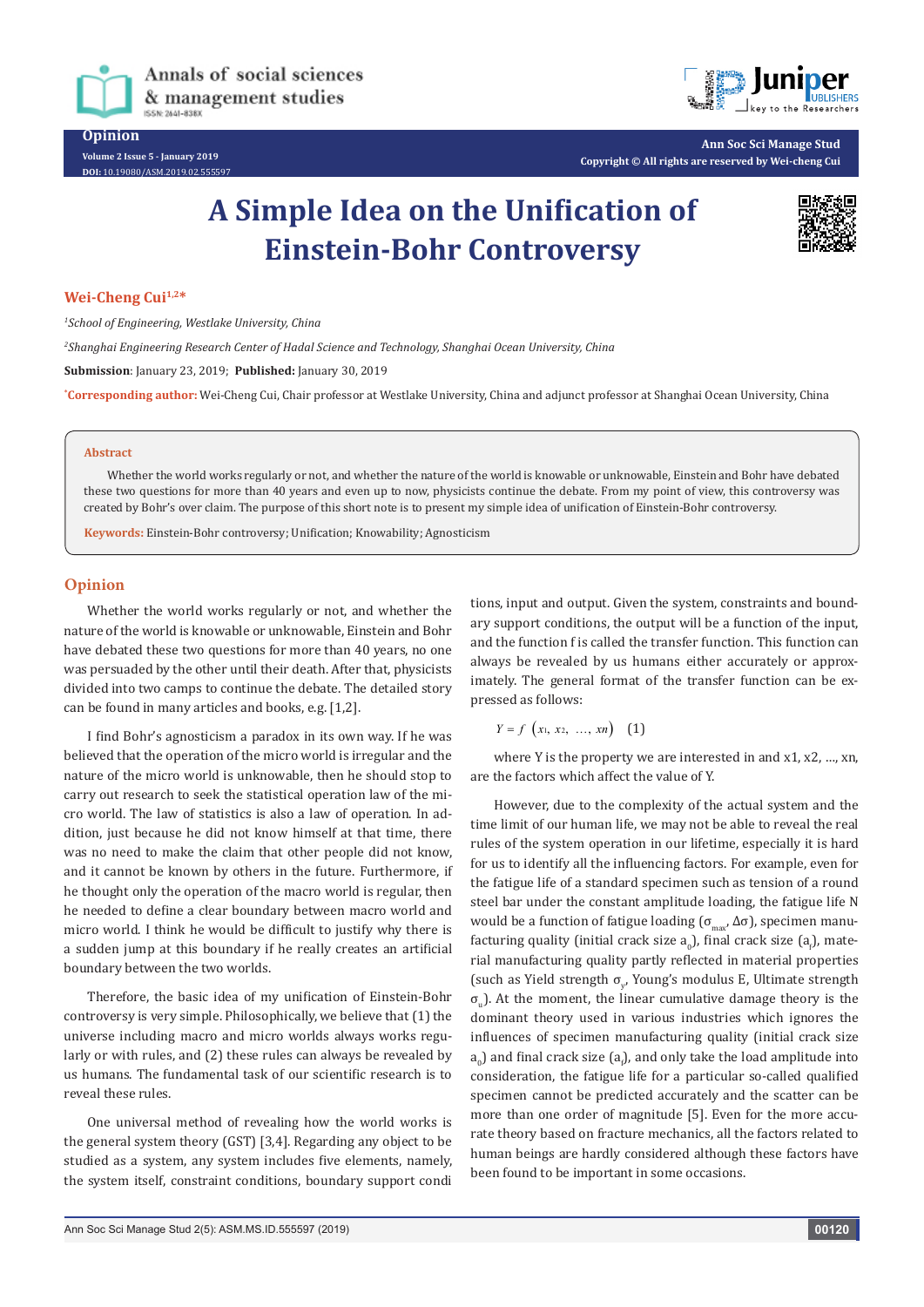

**Volume 2 Issue 5 - January 2019 DOI:** [10.19080/ASM.2019.02.555597](http://dx.doi.org/10.19080/ASM.2019.02.555597
)



**Ann Soc Sci Manage Stud Copyright © All rights are reserved by Wei-cheng Cui**

# **A Simple Idea on the Unification of Einstein-Bohr Controversy**



## Wei-Cheng Cui<sup>1,2\*</sup>

*1 School of Engineering, Westlake University, China*

*2 Shanghai Engineering Research Center of Hadal Science and Technology, Shanghai Ocean University, China*

**Submission**: January 23, 2019; **Published:** January 30, 2019

**\* Corresponding author:** Wei-Cheng Cui, Chair professor at Westlake University, China and adjunct professor at Shanghai Ocean University, China

#### **Abstract**

Whether the world works regularly or not, and whether the nature of the world is knowable or unknowable, Einstein and Bohr have debated these two questions for more than 40 years and even up to now, physicists continue the debate. From my point of view, this controversy was created by Bohr's over claim. The purpose of this short note is to present my simple idea of unification of Einstein-Bohr controversy.

**Keywords:** Einstein-Bohr controversy; Unification; Knowability; Agnosticism

## **Opinion**

Whether the world works regularly or not, and whether the nature of the world is knowable or unknowable, Einstein and Bohr have debated these two questions for more than 40 years, no one was persuaded by the other until their death. After that, physicists divided into two camps to continue the debate. The detailed story can be found in many articles and books, e.g. [1,2].

I find Bohr's agnosticism a paradox in its own way. If he was believed that the operation of the micro world is irregular and the nature of the micro world is unknowable, then he should stop to carry out research to seek the statistical operation law of the micro world. The law of statistics is also a law of operation. In addition, just because he did not know himself at that time, there was no need to make the claim that other people did not know, and it cannot be known by others in the future. Furthermore, if he thought only the operation of the macro world is regular, then he needed to define a clear boundary between macro world and micro world. I think he would be difficult to justify why there is a sudden jump at this boundary if he really creates an artificial boundary between the two worlds.

Therefore, the basic idea of my unification of Einstein-Bohr controversy is very simple. Philosophically, we believe that (1) the universe including macro and micro worlds always works regularly or with rules, and (2) these rules can always be revealed by us humans. The fundamental task of our scientific research is to reveal these rules.

One universal method of revealing how the world works is the general system theory (GST) [3,4]. Regarding any object to be studied as a system, any system includes five elements, namely, the system itself, constraint conditions, boundary support condi

tions, input and output. Given the system, constraints and boundary support conditions, the output will be a function of the input, and the function f is called the transfer function. This function can always be revealed by us humans either accurately or approximately. The general format of the transfer function can be expressed as follows:

$$
Y = f(x_1, x_2, ..., xn) \quad (1)
$$

where Y is the property we are interested in and x1, x2, …, xn, are the factors which affect the value of Y.

However, due to the complexity of the actual system and the time limit of our human life, we may not be able to reveal the real rules of the system operation in our lifetime, especially it is hard for us to identify all the influencing factors. For example, even for the fatigue life of a standard specimen such as tension of a round steel bar under the constant amplitude loading, the fatigue life N would be a function of fatigue loading ( $\sigma_{\text{max}}$ , Δσ), specimen manufacturing quality (initial crack size  $a_0$ ), final crack size ( $a_f$ ), material manufacturing quality partly reflected in material properties (such as Yield strength  $\sigma_{y}$ , Young's modulus E, Ultimate strength  $\sigma_{\rm u}$ ). At the moment, the linear cumulative damage theory is the dominant theory used in various industries which ignores the influences of specimen manufacturing quality (initial crack size  $a_{0}$ ) and final crack size ( $a_{\rm p}$ ), and only take the load amplitude into consideration, the fatigue life for a particular so-called qualified specimen cannot be predicted accurately and the scatter can be more than one order of magnitude [5]. Even for the more accurate theory based on fracture mechanics, all the factors related to human beings are hardly considered although these factors have been found to be important in some occasions.